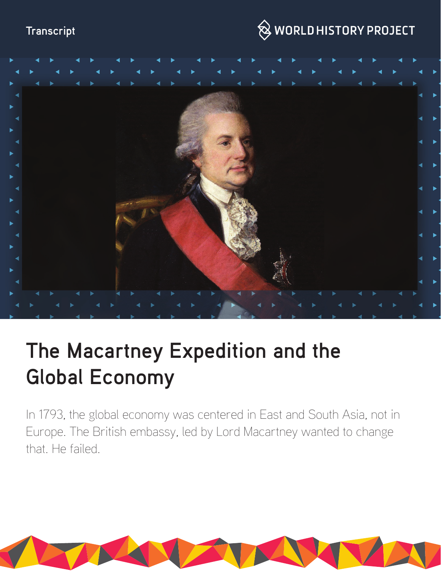## **Transcript**

## $\bigotimes$  WORLD HISTORY PROJECT



# **The Macartney Expedition and the Global Economy**

In 1793, the global economy was centered in East and South Asia, not in Europe. The British embassy, led by Lord Macartney wanted to change that. He failed.

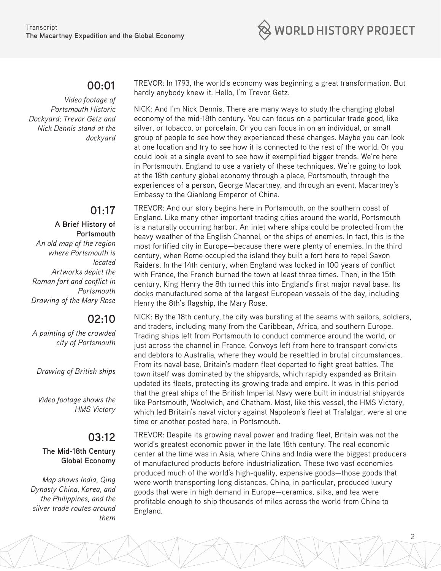

## **00:01**

*Video footage of Portsmouth Historic Dockyard; Trevor Getz and Nick Dennis stand at the dockyard*

## **01:17**

**A Brief History of Portsmouth** *An old map of the region where Portsmouth is located Artworks depict the Roman fort and conflict in Portsmouth Drawing of the Mary Rose*

## **02:10**

*A painting of the crowded city of Portsmouth*

*Drawing of British ships*

*Video footage shows the HMS Victory*

## **03:12**

#### **The Mid-18th Century Global Economy**

*Map shows India, Qing Dynasty China, Korea, and the Philippines, and the silver trade routes around them*

TREVOR: In 1793, the world's economy was beginning a great transformation. But hardly anybody knew it. Hello, I'm Trevor Getz.

NICK: And I'm Nick Dennis. There are many ways to study the changing global economy of the mid-18th century. You can focus on a particular trade good, like silver, or tobacco, or porcelain. Or you can focus in on an individual, or small group of people to see how they experienced these changes. Maybe you can look at one location and try to see how it is connected to the rest of the world. Or you could look at a single event to see how it exemplified bigger trends. We're here in Portsmouth, England to use a variety of these techniques. We're going to look at the 18th century global economy through a place, Portsmouth, through the experiences of a person, George Macartney, and through an event, Macartney's Embassy to the Qianlong Emperor of China.

TREVOR: And our story begins here in Portsmouth, on the southern coast of England. Like many other important trading cities around the world, Portsmouth is a naturally occurring harbor. An inlet where ships could be protected from the heavy weather of the English Channel, or the ships of enemies. In fact, this is the most fortified city in Europe—because there were plenty of enemies. In the third century, when Rome occupied the island they built a fort here to repel Saxon Raiders. In the 14th century, when England was locked in 100 years of conflict with France, the French burned the town at least three times. Then, in the 15th century, King Henry the 8th turned this into England's first major naval base. Its docks manufactured some of the largest European vessels of the day, including Henry the 8th's flagship, the Mary Rose.

NICK: By the 18th century, the city was bursting at the seams with sailors, soldiers, and traders, including many from the Caribbean, Africa, and southern Europe. Trading ships left from Portsmouth to conduct commerce around the world, or just across the channel in France. Convoys left from here to transport convicts and debtors to Australia, where they would be resettled in brutal circumstances. From its naval base, Britain's modern fleet departed to fight great battles. The town itself was dominated by the shipyards, which rapidly expanded as Britain updated its fleets, protecting its growing trade and empire. It was in this period that the great ships of the British Imperial Navy were built in industrial shipyards like Portsmouth, Woolwich, and Chatham. Most, like this vessel, the HMS Victory, which led Britain's naval victory against Napoleon's fleet at Trafalgar, were at one time or another posted here, in Portsmouth.

TREVOR: Despite its growing naval power and trading fleet, Britain was not the world's greatest economic power in the late 18th century. The real economic center at the time was in Asia, where China and India were the biggest producers of manufactured products before industrialization. These two vast economies produced much of the world's high-quality, expensive goods—those goods that were worth transporting long distances. China, in particular, produced luxury goods that were in high demand in Europe—ceramics, silks, and tea were profitable enough to ship thousands of miles across the world from China to England.

2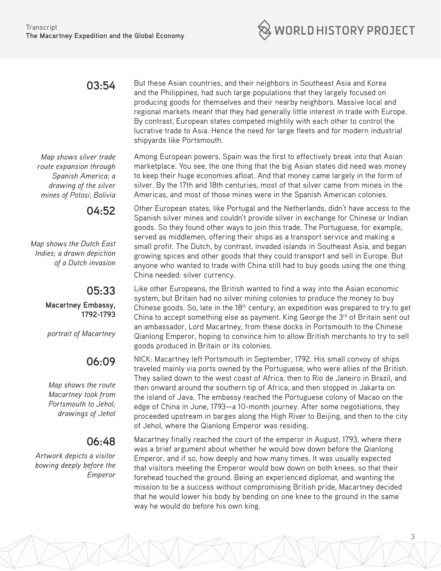## **03:54**

*Map shows silver trade route expansion through Spanish America; a drawing of the silver mines of Potosi, Bolivia*

**04:52**

*Map shows the Dutch East Indies; a drawn depiction of a Dutch invasion*

#### **05:33 Macartney Embassy, 1792-1793**

*portrait of Macartney*

## **06:09**

*Map shows the route Macartney took from Portsmouth to Jehol; drawings of Jehol*

## **06:48**

*Artwork depicts a visitor bowing deeply before the Emperor*

But these Asian countries, and their neighbors in Southeast Asia and Korea and the Philippines, had such large populations that they largely focused on producing goods for themselves and their nearby neighbors. Massive local and regional markets meant that they had generally little interest in trade with Europe. By contrast, European states competed mightily with each other to control the lucrative trade to Asia. Hence the need for large fleets and for modern industrial shipyards like Portsmouth.

Among European powers, Spain was the first to effectively break into that Asian marketplace. You see, the one thing that the big Asian states did need was money to keep their huge economies afloat. And that money came largely in the form of silver. By the 17th and 18th centuries, most of that silver came from mines in the Americas, and most of those mines were in the Spanish American colonies.

Other European states, like Portugal and the Netherlands, didn't have access to the Spanish silver mines and couldn't provide silver in exchange for Chinese or Indian goods. So they found other ways to join this trade. The Portuguese, for example, served as middlemen, offering their ships as a transport service and making a small profit. The Dutch, by contrast, invaded islands in Southeast Asia, and began growing spices and other goods that they could transport and sell in Europe. But anyone who wanted to trade with China still had to buy goods using the one thing China needed: silver currency.

Like other Europeans, the British wanted to find a way into the Asian economic system, but Britain had no silver mining colonies to produce the money to buy Chinese goods. So, late in the  $18<sup>th</sup>$  century, an expedition was prepared to try to get China to accept something else as payment. King George the  $3<sup>rd</sup>$  of Britain sent out an ambassador, Lord Macartney, from these docks in Portsmouth to the Chinese Qianlong Emperor, hoping to convince him to allow British merchants to try to sell goods produced in Britain or its colonies.

NICK: Macartney left Portsmouth in September, 1792. His small convoy of ships traveled mainly via ports owned by the Portuguese, who were allies of the British. They sailed down to the west coast of Africa, then to Rio de Janeiro in Brazil, and then onward around the southern tip of Africa, and then stopped in Jakarta on the island of Java. The embassy reached the Portuguese colony of Macao on the edge of China in June, 1793—a 10-month journey. After some negotiations, they proceeded upstream in barges along the High River to Beijing, and then to the city of Jehol, where the Qianlong Emperor was residing.

Macartney finally reached the court of the emperor in August, 1793, where there was a brief argument about whether he would bow down before the Qianlong Emperor, and if so, how deeply and how many times. It was usually expected that visitors meeting the Emperor would bow down on both knees, so that their forehead touched the ground. Being an experienced diplomat, and wanting the mission to be a success without compromising British pride, Macartney decided that he would lower his body by bending on one knee to the ground in the same way he would do before his own king.